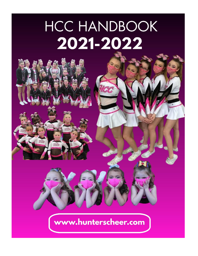# **HCC HANDBOOK** 2021-2022



# www.hunterscheer.com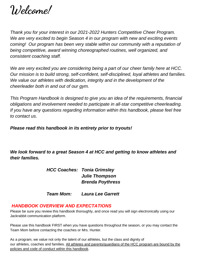**Welcome!**

*Thank you for your interest in our 2021-2022 Hunters Competitive Cheer Program. We are very excited to begin Season 4 in our program with new and exciting events coming! Our program has been very stable within our community with a reputation of being competitive, award winning choreographed routines, well organized, and consistent coaching staff.* 

*We are very excited you are considering being a part of our cheer family here at HCC. Our mission is to build strong, self-confident, self-disciplined, loyal athletes and families.*  We value our athletes with dedication, integrity and in the development of the *cheerleader both in and out of our gym.* 

*This Program Handbook is designed to give you an idea of the requirements, financial obligations and involvement needed to participate in all-star competitive cheerleading. If you have any questions regarding information within this handbook, please feel free to contact us.* 

*Please read this handbook in its entirety prior to tryouts!*

*We look forward to a great Season 4 at HCC and getting to know athletes and their families.* 

> *HCC Coaches: Tonia Grimsley Julie Thompson Brenda Poythress*

> *Team Mom: Laura Lee Garrett*

#### *HANDBOOK OVERVIEW AND EXPECTATIONS*

Please be sure you review this handbook thoroughly, and once read you will sign electronically using our Jackrabbit communication platform.

Please use this handbook FIRST when you have questions throughout the season, or you may contact the Team Mom before contacting the coaches or Mrs. Hunter.

As a program, we value not only the talent of our athletes, but the class and dignity of our athletes, coaches and families. All athletes and parents/guardians of the HCC program are bound by the policies and code of conduct within this handbook.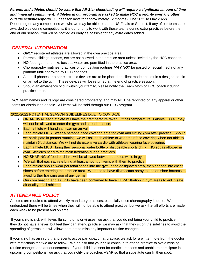#### *Parents and athletes should be aware that All-Star cheerleading will require a significant amount of time and financial commitment. Athletes in our program are asked to make HCC a priority over any other*

*outside activities/sports.* Our season lasts for approximately 12 months (June 2021 to May 2022). Depending on any competitions we win, we may be able to attend US Finals or Summit. If any of our teams are awarded bids during competitions, it is our priority to work with those teams during extra practices before the end of our season. You will be notified as early as possible for any extra dates added.

#### *GENERAL INFORMATION*

- *ONLY* registered athletes are allowed in the gym practice area.
- Parents, siblings, friends, etc are not allowed in the practice area unless invited by the HCC coaches.
- NO food, gum or drinks besides water are permitted in the practice area.
- Choreography routines, practices or competition routines *MAY NOT* be posted on social media of any platform until approved by HCC coaches.
- ALL cell phones or other electronic devices are to be placed on silent mode and left in a designated bin on arrival to the gym. These devices will be returned at the end of practice session.
- Should an emergency occur within your family, please notify the Team Mom or HCC coach if during practice times.

*HCC* team names and its logo are considered proprietary, and may NOT be reprinted on any apparel or other items for distribution or sale. All items will be sold through our HCC program.

#### 2021-2022 POTENTIAL SEASON GUIDELINES DUE TO COVID-19:

- ON ARRIVAL each athlete will have their temperature taken. If their temperature is above 100.4F they will not be allowed to enter the gym and attend practice.
- Each athlete will hand sanitizer on arrival.
- Each athlete MUST wear a personal face covering entering gym and exiting gym after practice. Should we participate in partner stunting, we will ask each athlete to wear their face covering when not able to maintain 6ft distance. We will not do extensive cardio with athletes wearing face covering.
- Each athlete MUST bring their personal water bottle or disposable sports drink. NO sodas allowed in gym. Athletes need to maintain hydration during practices.
- NO SHARING of food or drinks will be allowed between athletes while in gym.
- We ask that each athlete bring at least amount of items with them to practice.
- Each athlete should wear personal shoes into the gym in the designated area, then change into cheer shoes before entering the practice area. We hope to have disinfectant spray to use on shoe bottoms to avoid further transmission of any germs.
- Our gym heating and air units have been confirmed to have HEPA filtration in gym areas to aid in safe air quality of all athletes.

# *ATTENDANCE POLICY*

Athletes are required to attend weekly mandatory practices, especially once choreography is done. We understand there will be times when they will not be able to attend practice, but we ask that all efforts are made each week to be present and on time.

If your child is sick with fever, flu symptoms or viruses, we ask that you do not bring your child to practice. If they do not have a fever, but feel they can attend practice, we may ask that they sit on the sidelines to avoid the spreading of germs, but will allow them not to miss any important routine changes.

If your child has an injury that prevents active participation at practice, we ask for a written note from the doctor with restrictions that we are to follow. We do ask that your child continue to attend practice to avoid missing routine changes and announcements. If your child is absent for medical reasons and unable to participate in upcoming competitions, we ask that you notify the coaches ASAP so that a substitute can fill their spot.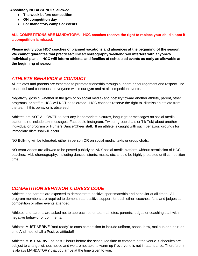**Absolutely NO ABSENCES allowed:**

- **The week before competition**
- **ON competition day**
- **For mandatory camps or events**

**ALL COMPETITIONS ARE MANDATORY. HCC coaches reserve the right to replace your child's spot if a competition is missed.** 

**Please notify your HCC coaches of planned vacations and absences at the beginning of the season. We cannot guarantee that practices/clinics/choreography weekend will interfere with anyone's individual plans. HCC will inform athletes and families of scheduled events as early as allowable at the beginning of season.** 

#### *ATHLETE BEHAVIOR & CONDUCT*

All athletes and parents are expected to promote friendship through support, encouragement and respect. Be respectful and courteous to everyone within our gym and at all competition events.

Negativity, gossip (whether in the gym or on social media) and hostility toward another athlete, parent, other programs, or staff at HCC will NOT be tolerated. HCC coaches reserve the right to dismiss an athlete from the team if this behavior is observed.

Athletes are NOT ALLOWED to post any inappropriate pictures, language or messages on social media platforms (to include text messages, Facebook, Instagram, Twitter, group chats or Tik Tok) about another individual or program or Hunters Dance/Cheer staff. If an athlete is caught with such behavior, grounds for immediate dismissal will occur.

NO Bullying will be tolerated, either in person OR on social media, texts or group chats.

NO team videos are allowed to be posted publicly on ANY social media platform without permission of HCC coaches. ALL choreography, including dances, stunts, music, etc. should be highly protected until competition time.

#### *COMPETITION BEHAVIOR & DRESS CODE*

Athletes and parents are expected to demonstrate positive sportsmanship and behavior at all times. All program members are required to demonstrate positive support for each other, coaches, fans and judges at competition or other events attended.

Athletes and parents are asked not to approach other team athletes, parents, judges or coaching staff with negative behavior or comments.

Athletes MUST ARRIVE "mat-ready" to each competition to include uniform, shoes, bow, makeup and hair, on time And most of all a Positive attitude!!

Athletes MUST ARRIVE at least 2 hours before the scheduled time to compete at the venue. Schedules are subject to change without notice and we are not able to warm up if everyone is not in attendance. Therefore, it is always MANDATORY that you arrive at the time given to you.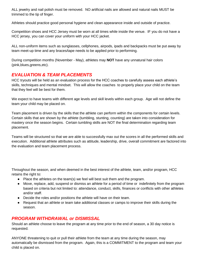ALL jewelry and nail polish must be removed. NO artificial nails are allowed and natural nails MUST be trimmed to the tip of finger.

Athletes should practice good personal hygiene and clean appearance inside and outside of practice.

Competition shoes and HCC Jersey must be worn at all times while inside the venue. IF you do not have a HCC jersey, you can cover your uniform with your HCC jacket.

ALL non-uniform items such as sunglasses, cellphones, airpods, ipads and backpacks must be put away by team meet-up time and any braces/tape needs to be applied prior to performing.

During competition months (November - May), athletes may **NOT** have any unnatural hair colors (pink,blues,greens,etc).

#### *EVALUATION & TEAM PLACEMENTS*

HCC tryouts will be held as an evaluation process for the HCC coaches to carefully assess each athlete's skills, techniques and mental mindset. This will allow the coaches to properly place your child on the team that they feel will be best for them.

We expect to have teams with different age levels and skill levels within each group. Age will not define the team your child may be placed on.

Team placement is driven by the skills that the athlete can perform within the components for certain levels. Certain skills that are shown by the athlete (tumbling, stunting, counting) are taken into consideration for mastery once the season begins. Certain tumbling skills are NOT the final determination regarding team placement.

Teams will be structured so that we are able to successfully max out the scores in all the performed skills and execution. Additional athlete attributes such as attitude, leadership, drive, overall commitment are factored into the evaluation and team placement process.

Throughout the season, and when deemed in the best interest of the athlete, team, and/or program, HCC retains the right to:

- Place the athletes on the team(s) we feel will best suit them and the program.
- Move, replace, add, suspend or dismiss an athlete for a period of time or indefinitely from the program based on criteria but not limited to: attendance, conduct, skills, finances or conflicts with other athletes and/or staff.
- Decide the roles and/or positions the athlete will have on their team.
- Request that an athlete or team take additional classes or camps to improve their skills during the season.

#### *PROGRAM WITHDRAWAL or DISMISSAL*

Should an athlete choose to leave the program at any time prior to the end of season, a 30 day notice is requested.

ANYONE threatening to quit or pull their athlete from the team at any time during the season, may automatically be dismissed from the program. Again, this is a COMMITMENT to the program and team your child is placed on.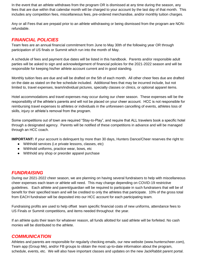In the event that an athlete withdraws from the program OR is dismissed at any time during the season, any fees that are due within that calendar month will be charged to your account by the last day of that month. This includes any competition fees, miscellaneous fees, pre-ordered merchandise, and/or monthly tuition charges.

Any or all Fees that are prepaid prior to an athlete withdrawing or being dismissed from the program are NONrefundable.

# *FINANCIAL POLICIES*

Team fees are an annual financial commitment from June to May 30th of the following year OR through participation of US finals or Summit which run into the month of May.

A schedule of fees and payment due dates will be listed in this handbook. Parents and/or responsible adult parties will be asked to sign and acknowledgement of financial policies for the 2021-2022 season and will be responsible for keeping his/her athlete account current and in good standing.

Monthly tuition fees are due and will be drafted on the 5th of each month. All other cheer fees due are drafted on the date as stated on the fee schedule included. Additional fees that may be incurred include, but not limited to, travel expenses, team/individual pictures, specialty classes or clinics, or optional apparel items.

Hotel accommodations and travel expenses may occur during our cheer season. These expenses will be the responsibility of the athlete's parents and will not be placed on your cheer account. HCC is not responsible for reimbursing travel expenses to athletes or individuals in the unforeseen cancelling of events, athletes loss of skills, injury or athlete's removal from the program.

Some competitions out of town are required "Stay-to-Play", and require that ALL travelers book a specific hotel through a designated agency. Parents will be notified of these competitions in advance and will be managed through an HCC coach.

**IMPORTANT:** If your account is delinquent by more than 30 days, Hunters Dance/Cheer reserves the right to:

- Withhold services (i.e private lessons, classes, etc)
- Withhold uniforms, practice wear, bows, etc
- Withhold any shop or preorder apparel purchase

### *FUNDRAISING*

During our 2021-2022 cheer season, we are planning on having several fundraisers to help with miscellaneous cheer expenses each team or athlete will need. This may change depending on COVID-19 restrictive guidelines. Each athlete and parent/guardian will be required to participate in such fundraisers that will be of benefit for their specified team and will be credited to only the athletes that participate. 10% of the gross total from EACH fundraiser will be deposited into our HCC account for each participating team.

Fundraising profits are used to help offset team specific financial costs of new uniforms, attendance fees to US Finals or Summit competitions, and items needed throughout the year.

If an athlete quits their team for whatever reason, all funds allotted for said athlete will be forfeited. No cash monies will be distributed to the athlete.

#### *COMMUNICATION*

Athletes and parents are responsible for regularly checking emails, our new website (www.hunterscheer.com), Team app (Group Me), and/or FB groups to obtain the most up-to-date information about the program, schedule, events, etc. We will also have important classes and updates on the new JackRabbit parent portal.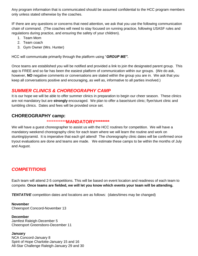Any program information that is communicated should be assumed confidential to the HCC program members only unless stated otherwise by the coaches.

IF there are any questions or concerns that need attention, we ask that you use the following communication chain of command. (The coaches will need to stay focused on running practice, following USASF rules and regulations during practice, and ensuring the safety of your children).

- 1. Team Mom
- 2. Team coach
- 3. Gym Owner (Mrs. Hunter)

HCC will communicate primarily through the platform using "*GROUP ME".* 

Once teams are established you will be notified and provided a link to join the designated parent group. This app is FREE and so far has been the easiest platform of communication within our groups. (We do ask, however, **NO** negative comments or conversations are stated within the group you are in. We ask that you keep all conversations positive and encouraging, as well as, informative to all parties involved.)

#### *SUMMER CLINICS & CHOREOGRAPHY CAMP*

It is our hope we will be able to offer summer clinics in preparation to begin our cheer season. These clinics are not mandatory but are **strongly** encouraged. We plan to offer a base/stunt clinic; flyer/stunt clinic and tumbling clinics. Dates and fees will be provided once set.

### **CHOREOGRAPHY camp:**

#### \*\*\*\*\*\*\*\*\*\*\***MANDATORY\*\*\*\*\*\*\*\***

We will have a guest choreographer to assist us with the HCC routines for competition. We will have a mandatory weekend choreography clinic for each team where we will learn the routine and work on stunting/pyramid. It is imperative that each girl attend! The choreography clinic dates will be confirmed once tryout evaluations are done and teams are made. We estimate these camps to be within the months of July and August.

### *COMPETITIONS*

Each team will attend 2-5 competitions. This will be based on event location and readiness of each team to compete. **Once teams are fielded, we will let you know which events your team will be attending.** 

**TENTATIVE** competition dates and locations are as follows: (dates/times may be changed)

**November** Cheersport Concord-November 13

**December** Jamfest Raleigh-December 5 Cheersport Greensboro-December 11

**January** NCA Concord-January 8 Spirit of Hope Charlotte-January 15 and 16 All-Star Challenge Raleigh-January 29 and 30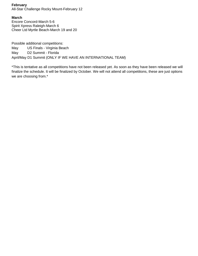#### **February**

All-Star Challenge Rocky Mount-February 12

#### **March**

Encore Concord-March 5-6 Spirit Xpress Raleigh-March 6 Cheer Ltd Myrtle Beach-March 19 and 20

Possible additional competitions: May US Finals - Virginia Beach May D2 Summit - Florida April/May D1 Summit (ONLY IF WE HAVE AN INTERNATIONAL TEAM)

\*This is tentative as all competitions have not been released yet. As soon as they have been released we will finalize the schedule. It will be finalized by October. We will not attend all competitions, these are just options we are choosing from.\*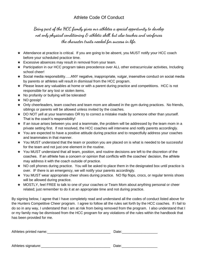## Athlete Code Of Conduct

**Being part of the HCC family gives our athletes a special opportunity to develop not only physical conditioning & athletic skill, but also teaches and reinforces the character traits needed for success in life.** 

- ★ Attendance at practice is critical. If you are going to be absent, you MUST notify your HCC coach before your scheduled practice time.
- $\star$  Excessive absences may result in removal from your team.
- ★ Participation in our HCC program takes precedence over ALL other extracurricular activities, Including school cheer!
- ★ Social media responsibility…..ANY negative, inappropriate, vulgar, insensitive conduct on social media by parents or athletes will result in dismissal from the HCC program.
- ★ Please leave any valuables at home or with a parent during practice and competitions. HCC is not responsible for any lost or stolen items.
- **★** No profanity or bullying will be tolerated!
- ★ NO gossip!
- ★ Only cheerleaders, team coaches and team mom are allowed in the gym during practices. No friends, siblings or parents will be allowed unless invited by the coaches.
- ★ DO NOT yell at your teammates OR try to correct a mistake made by someone other than yourself. That is the coach's responsibility!
- ★ If an issue arises between you and a teammate, the problem will be addressed by the team mom in a private setting first. If not resolved, the HCC coaches will intervene and notify parents accordingly.
- ★ You are expected to have a positive attitude during practice and to respectfully address your coaches and teammates in that manner.
- ★ You MUST understand that the team or position you are placed on is what is needed to be successful for the team and not just one element in the routine.
- ★ You MUST understand that all team, position, and routine decisions are left to the discretion of the coaches. If an athlete has a concern or opinion that conflicts with the coaches' decision, the athlete may address it with the coach outside of practice.
- ★ NO cell phones during practice. You will be asked to place them in the designated box until practice is over. IF there is an emergency, we will notify your parents accordingly.
- ★ You MUST wear appropriate cheer shoes during practice. NO flip flops, crocs, or regular tennis shoes will be allowed during practice.
- ★ MOSTLY, feel FREE to talk to one of your coaches or Team Mom about anything personal or cheer related; just remember to do it at an appropriate time and not during practice.

By signing below, I agree that I have completely read and understand all the codes of conduct listed above for the Hunters Competitive Cheer program. I agree to follow all the rules set forth by the HCC coaches. If i fail to do so in any way, I understand that I am at risk from being removed from the program. I also understand that I or my family may be dismissed from the HCC program for any violations of the rules within the handbook that has been provided for me.

Athletes printed name:  $\Box$ 

Athletes signature: etc. Athletes signature: etc. Athletes signature: etc. Athletes signature: etc. Athletes  $\Box$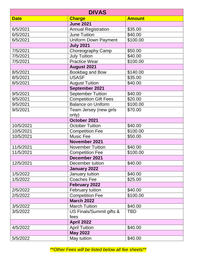| <b>DIVAS</b> |                              |               |  |
|--------------|------------------------------|---------------|--|
| <b>Date</b>  | <b>Charge</b>                | <b>Amount</b> |  |
|              | <b>June 2021</b>             |               |  |
| 6/5/2021     | <b>Annual Registration</b>   | \$35.00       |  |
| 6/5/2021     | <b>June Tuition</b>          | \$40.00       |  |
| 6/5/2021     | <b>Uniform Down Payment</b>  | \$100.00      |  |
|              | <b>July 2021</b>             |               |  |
| 7/5/2021     | Choreography Camp            | \$50.00       |  |
| 7/5/2021     | <b>July Tuition</b>          | \$40.00       |  |
| 7/5/2021     | <b>Practice Wear</b>         | \$100.00      |  |
|              | <b>August 2021</b>           |               |  |
| 8/5/2021     | Bookbag and Bow              | \$140.00      |  |
| 8/5/2021     | <b>USASF</b>                 | \$35.00       |  |
| 8/5/2021     | <b>August Tuition</b>        | \$40.00       |  |
|              | September 2021               |               |  |
| 9/5/2021     | <b>September Tuition</b>     | \$40.00       |  |
| 9/5/2021     | <b>Competition Gift Fees</b> | \$20.00       |  |
| 9/5/2021     | <b>Balance on Uniform</b>    | \$100.00      |  |
| 9/5/2021     | Team Jersey (new girls       | \$70.00       |  |
|              | only)                        |               |  |
|              | October 2021                 |               |  |
| 10/5/2021    | <b>October Tuition</b>       | \$40.00       |  |
| 10/5/2021    | <b>Competition Fee</b>       | \$100.00      |  |
| 10/5/2021    | <b>Music Fee</b>             | \$50.00       |  |
|              | November 2021                |               |  |
| 11/5/2021    | <b>November Tuition</b>      | \$40.00       |  |
| 11/5/2021    | <b>Competition Fee</b>       | \$100.00      |  |
|              | December 2021                |               |  |
| 12/5/2021    | December tuition             | \$40.00       |  |
|              | <b>January 2022</b>          |               |  |
| 1/5/2022     | January tuition              | \$40.00       |  |
| 1/5/2022     | <b>Coaches Fee</b>           | \$25.00       |  |
|              | February 2022                |               |  |
| 2/5/2022     | <b>February tuition</b>      | \$40.00       |  |
| 2/5/2022     | <b>Competition Fee</b>       | \$100.00      |  |
|              | <b>March 2022</b>            |               |  |
| 3/5/2022     | <b>March Tuition</b>         | \$40.00       |  |
| 3/5/2022     | US Finals/Summit gifts &     | <b>TBD</b>    |  |
|              | fees                         |               |  |
|              | <b>April 2022</b>            |               |  |
| 4/5/2022     | <b>April Tuition</b>         | \$40.00       |  |
|              | <b>May 2022</b>              |               |  |
| 5/5/2022     | May tuition                  | \$40.00       |  |

*\*\*Other Fees will be listed below all fee sheets\*\**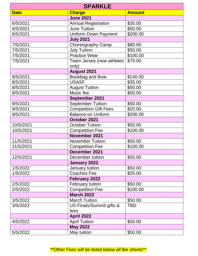| <b>SPARKLE</b> |                                    |               |  |  |
|----------------|------------------------------------|---------------|--|--|
| <b>Date</b>    | <b>Charge</b>                      | <b>Amount</b> |  |  |
|                | <b>June 2021</b>                   |               |  |  |
| 6/5/2021       | <b>Annual Registration</b>         | \$35.00       |  |  |
| 6/5/2021       | <b>June Tuition</b>                | \$50.00       |  |  |
| 6/5/2021       | <b>Uniform Down Payment</b>        | \$200.00      |  |  |
|                | <b>July 2021</b>                   |               |  |  |
| 7/5/2021       | Choreography Camp                  | \$80.00       |  |  |
| 7/5/2021       | <b>July Tuition</b>                | \$50.00       |  |  |
| 7/5/2021       | <b>Practice Wear</b>               | \$100.00      |  |  |
| 7/5/2021       | Team Jersey (new athletes<br>only) | \$70.00       |  |  |
|                | <b>August 2021</b>                 |               |  |  |
| 8/5/2021       | Bookbag and Bow                    | \$140.00      |  |  |
| 8/5/2021       | <b>USASF</b>                       | \$35.00       |  |  |
| 8/5/2021       | <b>August Tuition</b>              | \$50.00       |  |  |
| 8/5/2021       | Music fee                          | \$50.00       |  |  |
|                | September 2021                     |               |  |  |
| 9/5/2021       | <b>September Tuition</b>           | \$50.00       |  |  |
| 9/5/2021       | <b>Competition Gift Fees</b>       | \$20.00       |  |  |
| 9/5/2021       | <b>Balance on Uniform</b>          | \$200.00      |  |  |
|                | October 2021                       |               |  |  |
| 10/5/2021      | <b>October Tuition</b>             | \$50.00       |  |  |
| 10/5/2021      | <b>Competition Fee</b>             | \$100.00      |  |  |
|                | November 2021                      |               |  |  |
| 11/5/2021      | <b>November Tuition</b>            | \$50.00       |  |  |
| 11/5/2021      | <b>Competition Fee</b>             | \$100.00      |  |  |
|                | December 2021                      |               |  |  |
| 12/5/2021      | December tuition                   | \$50.00       |  |  |
|                | January 2022                       |               |  |  |
| 1/5/2022       | January tuition                    | \$50.00       |  |  |
| 1/5/2022       | <b>Coaches Fee</b>                 | \$25.00       |  |  |
|                | <b>February 2022</b>               |               |  |  |
| 2/5/2022       | February tuition                   | \$50.00       |  |  |
| 2/5/2022       | <b>Competition Fee</b>             | \$100.00      |  |  |
|                | <b>March 2022</b>                  |               |  |  |
| 3/5/2022       | <b>March Tuition</b>               | \$50.00       |  |  |
| 3/5/2022       | US Finals/Summit gifts &           | <b>TBD</b>    |  |  |
|                | fees                               |               |  |  |
|                | April 2022                         |               |  |  |
| 4/5/2022       | <b>April Tuition</b>               | \$50.00       |  |  |
|                | <b>May 2022</b>                    |               |  |  |
| 5/5/2022       | May tuition                        | \$50.00       |  |  |

*\*\*Other Fees will be listed below all fee sheets\*\**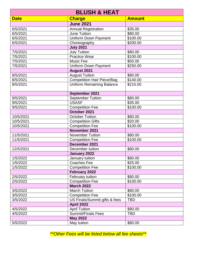| <b>BLUSH &amp; HEAT</b> |                                   |                      |  |
|-------------------------|-----------------------------------|----------------------|--|
| <b>Date</b>             | <b>Charge</b>                     | <b>Amount</b>        |  |
|                         | <b>June 2021</b>                  |                      |  |
| 6/5/2021                | <b>Annual Registration</b>        | \$35.00              |  |
| 6/5/2021                | June Tuition                      | \$80.00              |  |
| 6/5/2021                | <b>Uniform Down Payment</b>       | \$100.00             |  |
| 6/5/2021                | Choreography                      | \$200.00             |  |
|                         | <b>July 2021</b>                  |                      |  |
| 7/5/2021                | <b>July Tuition</b>               | \$80.00              |  |
| 7/5/2021                | <b>Practice Wear</b>              | \$100.00             |  |
| 7/5/2021                | <b>Music Fee</b>                  | \$50.00              |  |
| 7/5/2021                | <b>Uniform Down Payment</b>       | $\overline{$}250.00$ |  |
|                         | August 2021                       |                      |  |
| 8/5/2021                | <b>August Tuition</b>             | \$80.00              |  |
| 8/5/2021                | <b>Competition Hair Piece/Bag</b> | \$140.00             |  |
| 8/5/2021                | <b>Uniform Remaining Balance</b>  | \$215.00             |  |
|                         | September 2021                    |                      |  |
| 9/5/2021                | <b>September Tuition</b>          | \$80.00              |  |
| 9/5/2021                | <b>USASF</b>                      | \$35.00              |  |
| 9/5/2021                | <b>Competition Fee</b>            | \$100.00             |  |
|                         | October 2021                      |                      |  |
| 10/5/2021               | <b>October Tuition</b>            | \$80.00              |  |
| 10/5/2021               | Competition Gifts                 | \$20.00              |  |
| 10/5/2021               | <b>Competition Fee</b>            | \$100.00             |  |
|                         | November 2021                     |                      |  |
| 11/5/2021               | November Tuition                  | \$80.00              |  |
| 11/5/2021               | <b>Competition Fee</b>            | \$100.00             |  |
|                         | December 2021                     |                      |  |
| 12/5/2021               | December tuition                  | \$80.00              |  |
|                         | January 2022                      |                      |  |
| 1/5/2022                | January tuition                   | \$80.00              |  |
| 1/5/2022                | <b>Coaches Fee</b>                | \$25.00              |  |
| 1/5/2022                | <b>Competition Fee</b>            | \$100.00             |  |
|                         | February 2022                     |                      |  |
| 2/5/2022                | February tuition                  | \$80.00              |  |
| 2/5/2022                | <b>Competition Fee</b>            | \$100.00             |  |
|                         | <b>March 2022</b>                 |                      |  |
| 3/5/2022                | <b>March Tuition</b>              | \$80.00              |  |
| 3/5/2022                | <b>Competition Fee</b>            | \$100.00             |  |
| 3/5/2022                | US Finals/Summit gifts & fees     | <b>TBD</b>           |  |
|                         | <b>April 2022</b>                 |                      |  |
| 4/5/2022                | <b>April Tuition</b>              | \$80.00              |  |
| 4/5/2022                | <b>Summit/Finals Fees</b>         | <b>TBD</b>           |  |
|                         | <b>May 2022</b>                   |                      |  |
| 5/5/2022                | May tuition                       | \$80.00              |  |

*\*\*Other Fees will be listed below all fee sheets\*\**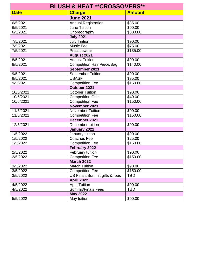| <b>BLUSH &amp; HEAT **CROSSOVERS**</b> |                                   |               |  |  |
|----------------------------------------|-----------------------------------|---------------|--|--|
| <b>Date</b>                            | <b>Charge</b>                     | <b>Amount</b> |  |  |
|                                        | <b>June 2021</b>                  |               |  |  |
| 6/5/2021                               | <b>Annual Registration</b>        | \$35.00       |  |  |
| 6/5/2021                               | <b>June Tuition</b>               | \$90.00       |  |  |
| 6/5/2021                               | Choreography                      | \$300.00      |  |  |
|                                        | <b>July 2021</b>                  |               |  |  |
| 7/5/2021                               | <b>July Tuition</b>               | \$90.00       |  |  |
| 7/5/2021                               | Music Fee                         | \$75.00       |  |  |
| 7/5/2021                               | Practicewear                      | \$135.00      |  |  |
|                                        | <b>August 2021</b>                |               |  |  |
| 8/5/2021                               | <b>August Tuition</b>             | \$90.00       |  |  |
| 8/5/2021                               | <b>Competition Hair Piece/Bag</b> | \$140.00      |  |  |
|                                        | September 2021                    |               |  |  |
| 9/5/2021                               | <b>September Tuition</b>          | \$90.00       |  |  |
| 9/5/2021                               | <b>USASF</b>                      | \$35.00       |  |  |
| 9/5/2021                               | <b>Competition Fee</b>            | \$150.00      |  |  |
|                                        | October 2021                      |               |  |  |
| 10/5/2021                              | <b>October Tuition</b>            | \$90.00       |  |  |
| 10/5/2021                              | <b>Competition Gifts</b>          | \$40.00       |  |  |
| 10/5/2021                              | <b>Competition Fee</b>            | \$150.00      |  |  |
|                                        | November 2021                     |               |  |  |
| 11/5/2021                              | <b>November Tuition</b>           | \$90.00       |  |  |
| 11/5/2021                              | <b>Competition Fee</b>            | \$150.00      |  |  |
|                                        | December 2021                     |               |  |  |
| 12/5/2021                              | December tuition                  | \$90.00       |  |  |
|                                        | January 2022                      |               |  |  |
| 1/5/2022                               | January tuition                   | \$90.00       |  |  |
| 1/5/2022                               | Coaches Fee                       | \$25.00       |  |  |
| 1/5/2022                               | <b>Competition Fee</b>            | \$150.00      |  |  |
|                                        | February 2022                     |               |  |  |
| 2/5/2022                               | February tuition                  | \$90.00       |  |  |
| 2/5/2022                               | <b>Competition Fee</b>            | \$150.00      |  |  |
|                                        | <b>March 2022</b>                 |               |  |  |
| 3/5/2022                               | <b>March Tuition</b>              | \$90.00       |  |  |
| 3/5/2022                               | <b>Competition Fee</b>            | \$150.00      |  |  |
| 3/5/2022                               | US Finals/Summit gifts & fees     | <b>TBD</b>    |  |  |
|                                        | <b>April 2022</b>                 |               |  |  |
| 4/5/2022                               | <b>April Tuition</b>              | \$90.00       |  |  |
| 4/5/2022                               | <b>Summit/Finals Fees</b>         | <b>TBD</b>    |  |  |
|                                        | <b>May 2022</b>                   |               |  |  |
| 5/5/2022                               | May tuition                       | \$90.00       |  |  |